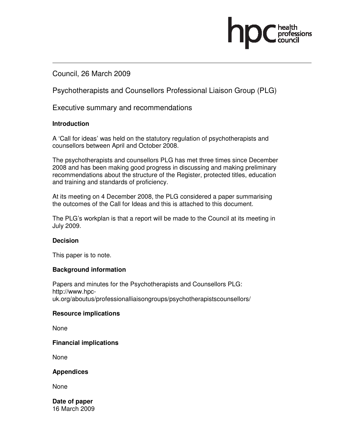#### Council, 26 March 2009

Psychotherapists and Counsellors Professional Liaison Group (PLG)

Executive summary and recommendations

#### **Introduction**

A 'Call for ideas' was held on the statutory regulation of psychotherapists and counsellors between April and October 2008.

The psychotherapists and counsellors PLG has met three times since December 2008 and has been making good progress in discussing and making preliminary recommendations about the structure of the Register, protected titles, education and training and standards of proficiency.

At its meeting on 4 December 2008, the PLG considered a paper summarising the outcomes of the Call for Ideas and this is attached to this document.

The PLG's workplan is that a report will be made to the Council at its meeting in July 2009.

#### **Decision**

This paper is to note.

#### **Background information**

Papers and minutes for the Psychotherapists and Counsellors PLG: http://www.hpcuk.org/aboutus/professionalliaisongroups/psychotherapistscounsellors/

#### **Resource implications**

None

#### **Financial implications**

None

#### **Appendices**

None

**Date of paper**  16 March 2009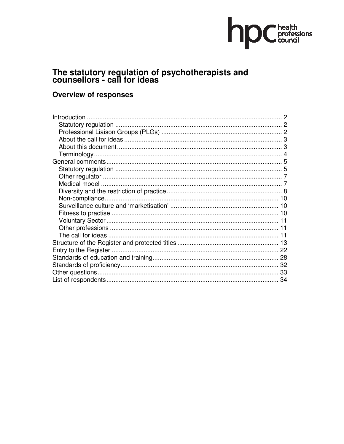# hp C health

# The statutory regulation of psychotherapists and<br>counsellors - call for ideas

#### **Overview of responses**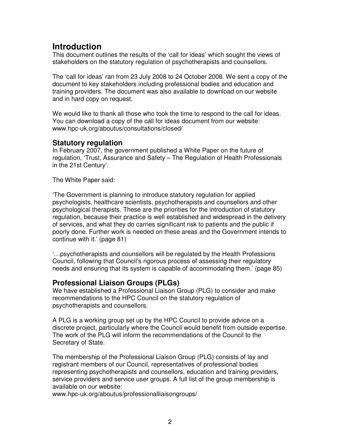# **Introduction**

This document outlines the results of the 'call for ideas' which sought the views of stakeholders on the statutory regulation of psychotherapists and counsellors.

The 'call for ideas' ran from 23 July 2008 to 24 October 2008. We sent a copy of the document to key stakeholders including professional bodies and education and training providers. The document was also available to download on our website and in hard copy on request.

We would like to thank all those who took the time to respond to the call for ideas. You can download a copy of the call for ideas document from our website: www.hpc-uk.org/aboutus/consultations/closed/

#### **Statutory regulation**

In February 2007, the government published a White Paper on the future of regulation, 'Trust, Assurance and Safety – The Regulation of Health Professionals in the 21st Century'.

The White Paper said:

'The Government is planning to introduce statutory regulation for applied psychologists, healthcare scientists, psychotherapists and counsellors and other psychological therapists. These are the priorities for the introduction of statutory regulation, because their practice is well established and widespread in the delivery of services, and what they do carries significant risk to patients and the public if poorly done. Further work is needed on these areas and the Government intends to continue with it.' (page 81)

'…psychotherapists and counsellors will be regulated by the Health Professions Council, following that Council's rigorous process of assessing their regulatory needs and ensuring that its system is capable of accommodating them.' (page 85)

#### **Professional Liaison Groups (PLGs)**

We have established a Professional Liaison Group (PLG) to consider and make recommendations to the HPC Council on the statutory regulation of psychotherapists and counsellors.

A PLG is a working group set up by the HPC Council to provide advice on a discrete project, particularly where the Council would benefit from outside expertise. The work of the PLG will inform the recommendations of the Council to the Secretary of State.

The membership of the Professional Liaison Group (PLG) consists of lay and registrant members of our Council, representatives of professional bodies representing psychotherapists and counsellors, education and training providers, service providers and service user groups. A full list of the group membership is available on our website:

www.hpc-uk.org/aboutus/professionalliaisongroups/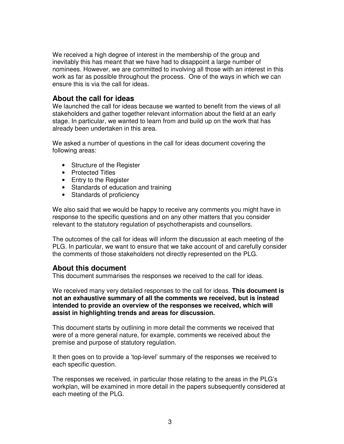We received a high degree of interest in the membership of the group and inevitably this has meant that we have had to disappoint a large number of nominees. However, we are committed to involving all those with an interest in this work as far as possible throughout the process. One of the ways in which we can ensure this is via the call for ideas.

#### **About the call for ideas**

We launched the call for ideas because we wanted to benefit from the views of all stakeholders and gather together relevant information about the field at an early stage. In particular, we wanted to learn from and build up on the work that has already been undertaken in this area.

We asked a number of questions in the call for ideas document covering the following areas:

- Structure of the Register
- Protected Titles
- Entry to the Register
- Standards of education and training
- Standards of proficiency

We also said that we would be happy to receive any comments you might have in response to the specific questions and on any other matters that you consider relevant to the statutory regulation of psychotherapists and counsellors.

The outcomes of the call for ideas will inform the discussion at each meeting of the PLG. In particular, we want to ensure that we take account of and carefully consider the comments of those stakeholders not directly represented on the PLG.

#### **About this document**

This document summarises the responses we received to the call for ideas.

We received many very detailed responses to the call for ideas. **This document is not an exhaustive summary of all the comments we received, but is instead intended to provide an overview of the responses we received, which will assist in highlighting trends and areas for discussion.** 

This document starts by outlining in more detail the comments we received that were of a more general nature, for example, comments we received about the premise and purpose of statutory regulation.

It then goes on to provide a 'top-level' summary of the responses we received to each specific question.

The responses we received, in particular those relating to the areas in the PLG's workplan, will be examined in more detail in the papers subsequently considered at each meeting of the PLG.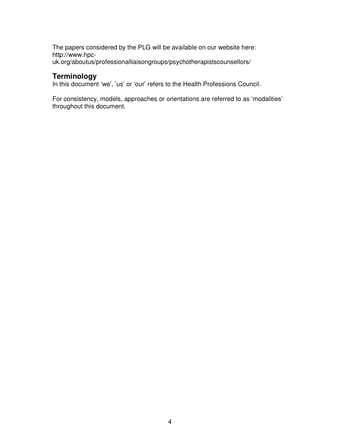The papers considered by the PLG will be available on our website here: http://www.hpcuk.org/aboutus/professionalliaisongroups/psychotherapistscounsellors/

#### **Terminology**

In this document 'we', 'us' or 'our' refers to the Health Professions Council.

For consistency, models, approaches or orientations are referred to as 'modalities' throughout this document.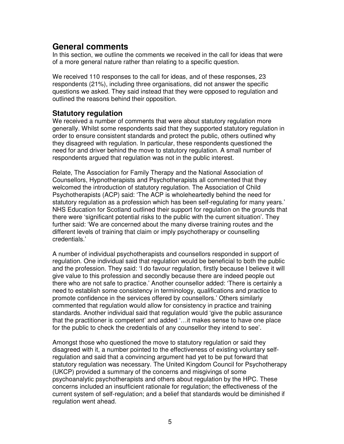## **General comments**

In this section, we outline the comments we received in the call for ideas that were of a more general nature rather than relating to a specific question.

We received 110 responses to the call for ideas, and of these responses, 23 respondents (21%), including three organisations, did not answer the specific questions we asked. They said instead that they were opposed to regulation and outlined the reasons behind their opposition.

#### **Statutory regulation**

We received a number of comments that were about statutory regulation more generally. Whilst some respondents said that they supported statutory regulation in order to ensure consistent standards and protect the public, others outlined why they disagreed with regulation. In particular, these respondents questioned the need for and driver behind the move to statutory regulation. A small number of respondents argued that regulation was not in the public interest.

Relate, The Association for Family Therapy and the National Association of Counsellors, Hypnotherapists and Psychotherapists all commented that they welcomed the introduction of statutory regulation. The Association of Child Psychotherapists (ACP) said: 'The ACP is wholeheartedly behind the need for statutory regulation as a profession which has been self-regulating for many years.' NHS Education for Scotland outlined their support for regulation on the grounds that there were 'significant potential risks to the public with the current situation'. They further said: 'We are concerned about the many diverse training routes and the different levels of training that claim or imply psychotherapy or counselling credentials.'

A number of individual psychotherapists and counsellors responded in support of regulation. One individual said that regulation would be beneficial to both the public and the profession. They said: 'I do favour regulation, firstly because I believe it will give value to this profession and secondly because there are indeed people out there who are not safe to practice.' Another counsellor added: 'There is certainly a need to establish some consistency in terminology, qualifications and practice to promote confidence in the services offered by counsellors.' Others similarly commented that regulation would allow for consistency in practice and training standards. Another individual said that regulation would 'give the public assurance that the practitioner is competent' and added '…it makes sense to have one place for the public to check the credentials of any counsellor they intend to see'.

Amongst those who questioned the move to statutory regulation or said they disagreed with it, a number pointed to the effectiveness of existing voluntary selfregulation and said that a convincing argument had yet to be put forward that statutory regulation was necessary. The United Kingdom Council for Psychotherapy (UKCP) provided a summary of the concerns and misgivings of some psychoanalytic psychotherapists and others about regulation by the HPC. These concerns included an insufficient rationale for regulation; the effectiveness of the current system of self-regulation; and a belief that standards would be diminished if regulation went ahead.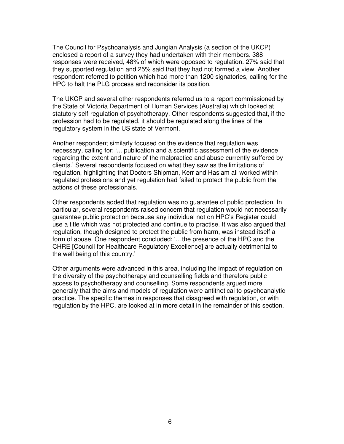The Council for Psychoanalysis and Jungian Analysis (a section of the UKCP) enclosed a report of a survey they had undertaken with their members. 388 responses were received, 48% of which were opposed to regulation. 27% said that they supported regulation and 25% said that they had not formed a view. Another respondent referred to petition which had more than 1200 signatories, calling for the HPC to halt the PLG process and reconsider its position.

The UKCP and several other respondents referred us to a report commissioned by the State of Victoria Department of Human Services (Australia) which looked at statutory self-regulation of psychotherapy. Other respondents suggested that, if the profession had to be regulated, it should be regulated along the lines of the regulatory system in the US state of Vermont.

Another respondent similarly focused on the evidence that regulation was necessary, calling for: '... publication and a scientific assessment of the evidence regarding the extent and nature of the malpractice and abuse currently suffered by clients.' Several respondents focused on what they saw as the limitations of regulation, highlighting that Doctors Shipman, Kerr and Haslam all worked within regulated professions and yet regulation had failed to protect the public from the actions of these professionals.

Other respondents added that regulation was no guarantee of public protection. In particular, several respondents raised concern that regulation would not necessarily guarantee public protection because any individual not on HPC's Register could use a title which was not protected and continue to practise. It was also argued that regulation, though designed to protect the public from harm, was instead itself a form of abuse. One respondent concluded: '…the presence of the HPC and the CHRE [Council for Healthcare Regulatory Excellence] are actually detrimental to the well being of this country.'

Other arguments were advanced in this area, including the impact of regulation on the diversity of the psychotherapy and counselling fields and therefore public access to psychotherapy and counselling. Some respondents argued more generally that the aims and models of regulation were antithetical to psychoanalytic practice. The specific themes in responses that disagreed with regulation, or with regulation by the HPC, are looked at in more detail in the remainder of this section.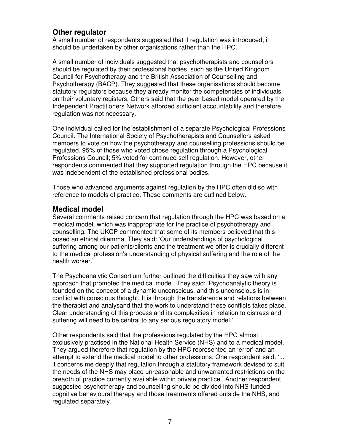#### **Other regulator**

A small number of respondents suggested that if regulation was introduced, it should be undertaken by other organisations rather than the HPC.

A small number of individuals suggested that psychotherapists and counsellors should be regulated by their professional bodies, such as the United Kingdom Council for Psychotherapy and the British Association of Counselling and Psychotherapy (BACP). They suggested that these organisations should become statutory regulators because they already monitor the competencies of individuals on their voluntary registers. Others said that the peer based model operated by the Independent Practitioners Network afforded sufficient accountability and therefore regulation was not necessary.

One individual called for the establishment of a separate Psychological Professions Council. The International Society of Psychotherapists and Counsellors asked members to vote on how the psychotherapy and counselling professions should be regulated. 95% of those who voted chose regulation through a Psychological Professions Council; 5% voted for continued self regulation. However, other respondents commented that they supported regulation through the HPC because it was independent of the established professional bodies.

Those who advanced arguments against regulation by the HPC often did so with reference to models of practice. These comments are outlined below.

#### **Medical model**

Several comments raised concern that regulation through the HPC was based on a medical model, which was inappropriate for the practice of psychotherapy and counselling. The UKCP commented that some of its members believed that this posed an ethical dilemma. They said: 'Our understandings of psychological suffering among our patients/clients and the treatment we offer is crucially different to the medical profession's understanding of physical suffering and the role of the health worker.'

The Psychoanalytic Consortium further outlined the difficulties they saw with any approach that promoted the medical model. They said: 'Psychoanalytic theory is founded on the concept of a dynamic unconscious, and this unconscious is in conflict with conscious thought. It is through the transference and relations between the therapist and analysand that the work to understand these conflicts takes place. Clear understanding of this process and its complexities in relation to distress and suffering will need to be central to any serious regulatory model.'

Other respondents said that the professions regulated by the HPC almost exclusively practised in the National Health Service (NHS) and to a medical model. They argued therefore that regulation by the HPC represented an 'error' and an attempt to extend the medical model to other professions. One respondent said: '... it concerns me deeply that regulation through a statutory framework devised to suit the needs of the NHS may place unreasonable and unwarranted restrictions on the breadth of practice currently available within private practice.' Another respondent suggested psychotherapy and counselling should be divided into NHS-funded cognitive behavioural therapy and those treatments offered outside the NHS, and regulated separately.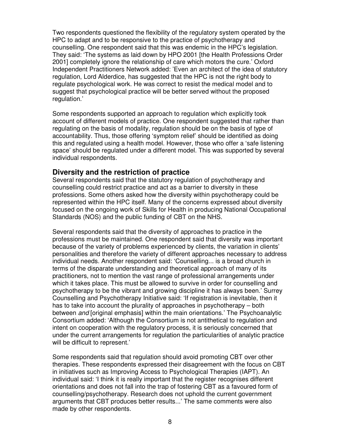Two respondents questioned the flexibility of the regulatory system operated by the HPC to adapt and to be responsive to the practice of psychotherapy and counselling. One respondent said that this was endemic in the HPC's legislation. They said: 'The systems as laid down by HPO 2001 [the Health Professions Order 2001] completely ignore the relationship of care which motors the cure.' Oxford Independent Practitioners Network added: 'Even an architect of the idea of statutory regulation, Lord Alderdice, has suggested that the HPC is not the right body to regulate psychological work. He was correct to resist the medical model and to suggest that psychological practice will be better served without the proposed regulation.'

Some respondents supported an approach to regulation which explicitly took account of different models of practice. One respondent suggested that rather than regulating on the basis of modality, regulation should be on the basis of type of accountability. Thus, those offering 'symptom relief' should be identified as doing this and regulated using a health model. However, those who offer a 'safe listening space' should be regulated under a different model. This was supported by several individual respondents.

#### **Diversity and the restriction of practice**

Several respondents said that the statutory regulation of psychotherapy and counselling could restrict practice and act as a barrier to diversity in these professions. Some others asked how the diversity within psychotherapy could be represented within the HPC itself. Many of the concerns expressed about diversity focused on the ongoing work of Skills for Health in producing National Occupational Standards (NOS) and the public funding of CBT on the NHS.

Several respondents said that the diversity of approaches to practice in the professions must be maintained. One respondent said that diversity was important because of the variety of problems experienced by clients, the variation in clients' personalities and therefore the variety of different approaches necessary to address individual needs. Another respondent said: 'Counselling... is a broad church in terms of the disparate understanding and theoretical approach of many of its practitioners, not to mention the vast range of professional arrangements under which it takes place. This must be allowed to survive in order for counselling and psychotherapy to be the vibrant and growing discipline it has always been.' Surrey Counselling and Psychotherapy Initiative said: 'If registration is inevitable, then it has to take into account the plurality of approaches in psychotherapy – both between and [original emphasis] within the main orientations.' The Psychoanalytic Consortium added: 'Although the Consortium is not antithetical to regulation and intent on cooperation with the regulatory process, it is seriously concerned that under the current arrangements for regulation the particularities of analytic practice will be difficult to represent.'

Some respondents said that regulation should avoid promoting CBT over other therapies. These respondents expressed their disagreement with the focus on CBT in initiatives such as Improving Access to Psychological Therapies (IAPT). An individual said: 'I think it is really important that the register recognises different orientations and does not fall into the trap of fostering CBT as a favoured form of counselling/psychotherapy. Research does not uphold the current government arguments that CBT produces better results...' The same comments were also made by other respondents.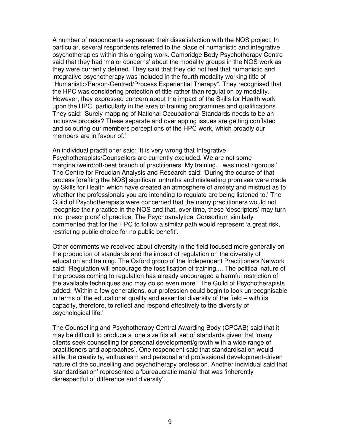A number of respondents expressed their dissatisfaction with the NOS project. In particular, several respondents referred to the place of humanistic and integrative psychotherapies within this ongoing work. Cambridge Body Psychotherapy Centre said that they had 'major concerns' about the modality groups in the NOS work as they were currently defined. They said that they did not feel that humanistic and integrative psychotherapy was included in the fourth modality working title of "Humanistic/Person-Centred/Process Experiential Therapy". They recognised that the HPC was considering protection of title rather than regulation by modality. However, they expressed concern about the impact of the Skills for Health work upon the HPC, particularly in the area of training programmes and qualifications. They said: 'Surely mapping of National Occupational Standards needs to be an inclusive process? These separate and overlapping issues are getting conflated and colouring our members perceptions of the HPC work, which broadly our members are in favour of.'

An individual practitioner said: 'It is very wrong that Integrative Psychotherapists/Counsellors are currently excluded. We are not some marginal/weird/off-beat branch of practitioners. My training... was most rigorous.' The Centre for Freudian Analysis and Research said: 'During the course of that process [drafting the NOS] significant untruths and misleading promises were made by Skills for Health which have created an atmosphere of anxiety and mistrust as to whether the professionals you are intending to regulate are being listened to.' The Guild of Psychotherapists were concerned that the many practitioners would not recognise their practice in the NOS and that, over time, these 'descriptors' may turn into 'prescriptors' of practice. The Psychoanalytical Consortium similarly commented that for the HPC to follow a similar path would represent 'a great risk, restricting public choice for no public benefit'.

Other comments we received about diversity in the field focused more generally on the production of standards and the impact of regulation on the diversity of education and training. The Oxford group of the Independent Practitioners Network said: 'Regulation will encourage the fossilisation of training.... The political nature of the process coming to regulation has already encouraged a harmful restriction of the available techniques and may do so even more.' The Guild of Psychotherapists added: 'Within a few generations, our profession could begin to look unrecognisable in terms of the educational quality and essential diversity of the field – with its capacity, therefore, to reflect and respond effectively to the diversity of psychological life.'

The Counselling and Psychotherapy Central Awarding Body (CPCAB) said that it may be difficult to produce a 'one size fits all' set of standards given that 'many clients seek counselling for personal development/growth with a wide range of practitioners and approaches'. One respondent said that standardisation would stifle the creativity, enthusiasm and personal and professional development-driven nature of the counselling and psychotherapy profession. Another individual said that 'standardisation' represented a 'bureaucratic mania' that was 'inherently disrespectful of difference and diversity'.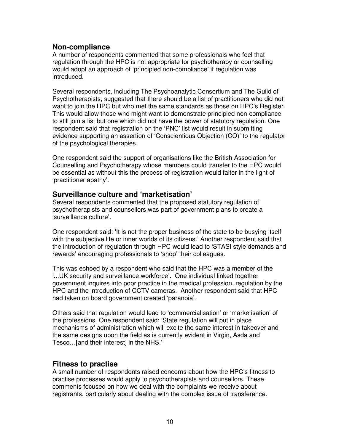#### **Non-compliance**

A number of respondents commented that some professionals who feel that regulation through the HPC is not appropriate for psychotherapy or counselling would adopt an approach of 'principled non-compliance' if regulation was introduced.

Several respondents, including The Psychoanalytic Consortium and The Guild of Psychotherapists, suggested that there should be a list of practitioners who did not want to join the HPC but who met the same standards as those on HPC's Register. This would allow those who might want to demonstrate principled non-compliance to still join a list but one which did not have the power of statutory regulation. One respondent said that registration on the 'PNC' list would result in submitting evidence supporting an assertion of 'Conscientious Objection (CO)' to the regulator of the psychological therapies.

One respondent said the support of organisations like the British Association for Counselling and Psychotherapy whose members could transfer to the HPC would be essential as without this the process of registration would falter in the light of 'practitioner apathy'.

#### **Surveillance culture and 'marketisation'**

Several respondents commented that the proposed statutory regulation of psychotherapists and counsellors was part of government plans to create a 'surveillance culture'.

One respondent said: 'It is not the proper business of the state to be busying itself with the subjective life or inner worlds of its citizens.' Another respondent said that the introduction of regulation through HPC would lead to 'STASI style demands and rewards' encouraging professionals to 'shop' their colleagues.

This was echoed by a respondent who said that the HPC was a member of the '...UK security and surveillance workforce'. One individual linked together government inquires into poor practice in the medical profession, regulation by the HPC and the introduction of CCTV cameras. Another respondent said that HPC had taken on board government created 'paranoia'.

Others said that regulation would lead to 'commercialisation' or 'marketisation' of the professions. One respondent said: 'State regulation will put in place mechanisms of administration which will excite the same interest in takeover and the same designs upon the field as is currently evident in Virgin, Asda and Tesco…[and their interest] in the NHS.'

#### **Fitness to practise**

A small number of respondents raised concerns about how the HPC's fitness to practise processes would apply to psychotherapists and counsellors. These comments focused on how we deal with the complaints we receive about registrants, particularly about dealing with the complex issue of transference.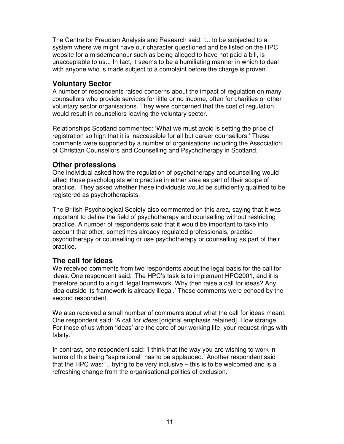The Centre for Freudian Analysis and Research said: '... to be subjected to a system where we might have our character questioned and be listed on the HPC website for a misdemeanour such as being alleged to have not paid a bill, is unacceptable to us... In fact, it seems to be a humiliating manner in which to deal with anyone who is made subject to a complaint before the charge is proven.'

#### **Voluntary Sector**

A number of respondents raised concerns about the impact of regulation on many counsellors who provide services for little or no income, often for charities or other voluntary sector organisations. They were concerned that the cost of regulation would result in counsellors leaving the voluntary sector.

Relationships Scotland commented: 'What we must avoid is setting the price of registration so high that it is inaccessible for all but career counsellors.' These comments were supported by a number of organisations including the Association of Christian Counsellors and Counselling and Psychotherapy in Scotland.

#### **Other professions**

One individual asked how the regulation of psychotherapy and counselling would affect those psychologists who practise in either area as part of their scope of practice. They asked whether these individuals would be sufficiently qualified to be registered as psychotherapists.

The British Psychological Society also commented on this area, saying that it was important to define the field of psychotherapy and counselling without restricting practice. A number of respondents said that it would be important to take into account that other, sometimes already regulated professionals, practise psychotherapy or counselling or use psychotherapy or counselling as part of their practice.

#### **The call for ideas**

We received comments from two respondents about the legal basis for the call for ideas. One respondent said: 'The HPC's task is to implement HPO2001, and it is therefore bound to a rigid, legal framework. Why then raise a call for ideas? Any idea outside its framework is already illegal.' These comments were echoed by the second respondent.

We also received a small number of comments about what the call for ideas meant. One respondent said: 'A call for *ideas* [original emphasis retained]. How strange. For those of us whom 'ideas' are the core of our working life, your request rings with falsity.'

In contrast, one respondent said: 'I think that the way you are wishing to work in terms of this being "aspirational" has to be applauded.' Another respondent said that the HPC was: '...trying to be very inclusive – this is to be welcomed and is a refreshing change from the organisational politics of exclusion.'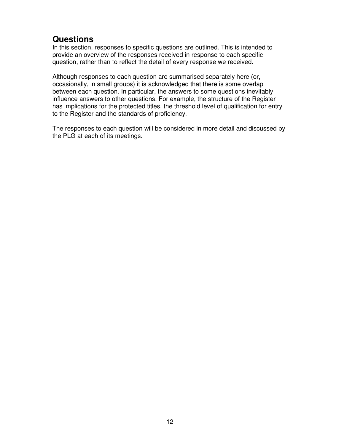# **Questions**

In this section, responses to specific questions are outlined. This is intended to provide an overview of the responses received in response to each specific question, rather than to reflect the detail of every response we received.

Although responses to each question are summarised separately here (or, occasionally, in small groups) it is acknowledged that there is some overlap between each question. In particular, the answers to some questions inevitably influence answers to other questions. For example, the structure of the Register has implications for the protected titles, the threshold level of qualification for entry to the Register and the standards of proficiency.

The responses to each question will be considered in more detail and discussed by the PLG at each of its meetings.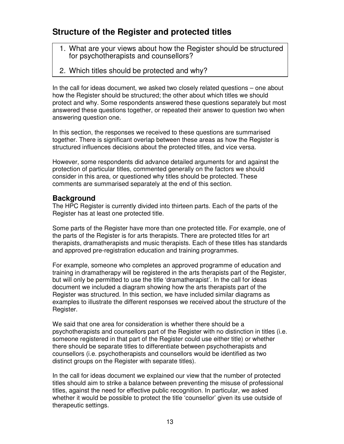# **Structure of the Register and protected titles**

- 1. What are your views about how the Register should be structured for psychotherapists and counsellors?
- 2. Which titles should be protected and why?

In the call for ideas document, we asked two closely related questions – one about how the Register should be structured; the other about which titles we should protect and why. Some respondents answered these questions separately but most answered these questions together, or repeated their answer to question two when answering question one.

In this section, the responses we received to these questions are summarised together. There is significant overlap between these areas as how the Register is structured influences decisions about the protected titles, and vice versa.

However, some respondents did advance detailed arguments for and against the protection of particular titles, commented generally on the factors we should consider in this area, or questioned why titles should be protected. These comments are summarised separately at the end of this section.

#### **Background**

The HPC Register is currently divided into thirteen parts. Each of the parts of the Register has at least one protected title.

Some parts of the Register have more than one protected title. For example, one of the parts of the Register is for arts therapists. There are protected titles for art therapists, dramatherapists and music therapists. Each of these titles has standards and approved pre-registration education and training programmes.

For example, someone who completes an approved programme of education and training in dramatherapy will be registered in the arts therapists part of the Register, but will only be permitted to use the title 'dramatherapist'. In the call for ideas document we included a diagram showing how the arts therapists part of the Register was structured. In this section, we have included similar diagrams as examples to illustrate the different responses we received about the structure of the Register.

We said that one area for consideration is whether there should be a psychotherapists and counsellors part of the Register with no distinction in titles (i.e. someone registered in that part of the Register could use either title) or whether there should be separate titles to differentiate between psychotherapists and counsellors (i.e. psychotherapists and counsellors would be identified as two distinct groups on the Register with separate titles).

In the call for ideas document we explained our view that the number of protected titles should aim to strike a balance between preventing the misuse of professional titles, against the need for effective public recognition. In particular, we asked whether it would be possible to protect the title 'counsellor' given its use outside of therapeutic settings.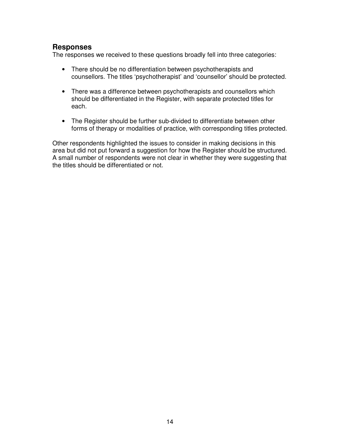#### **Responses**

The responses we received to these questions broadly fell into three categories:

- There should be no differentiation between psychotherapists and counsellors. The titles 'psychotherapist' and 'counsellor' should be protected.
- There was a difference between psychotherapists and counsellors which should be differentiated in the Register, with separate protected titles for each.
- The Register should be further sub-divided to differentiate between other forms of therapy or modalities of practice, with corresponding titles protected.

Other respondents highlighted the issues to consider in making decisions in this area but did not put forward a suggestion for how the Register should be structured. A small number of respondents were not clear in whether they were suggesting that the titles should be differentiated or not.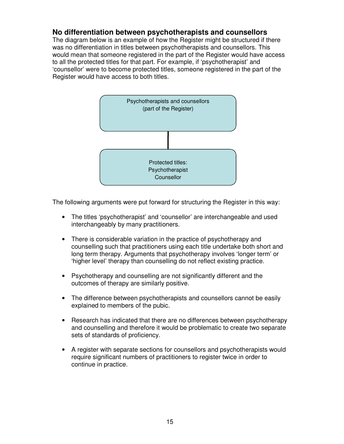#### **No differentiation between psychotherapists and counsellors**

The diagram below is an example of how the Register might be structured if there was no differentiation in titles between psychotherapists and counsellors. This would mean that someone registered in the part of the Register would have access to all the protected titles for that part. For example, if 'psychotherapist' and 'counsellor' were to become protected titles, someone registered in the part of the Register would have access to both titles.



The following arguments were put forward for structuring the Register in this way:

- The titles 'psychotherapist' and 'counsellor' are interchangeable and used interchangeably by many practitioners.
- There is considerable variation in the practice of psychotherapy and counselling such that practitioners using each title undertake both short and long term therapy. Arguments that psychotherapy involves 'longer term' or 'higher level' therapy than counselling do not reflect existing practice.
- Psychotherapy and counselling are not significantly different and the outcomes of therapy are similarly positive.
- The difference between psychotherapists and counsellors cannot be easily explained to members of the pubic.
- Research has indicated that there are no differences between psychotherapy and counselling and therefore it would be problematic to create two separate sets of standards of proficiency.
- A register with separate sections for counsellors and psychotherapists would require significant numbers of practitioners to register twice in order to continue in practice.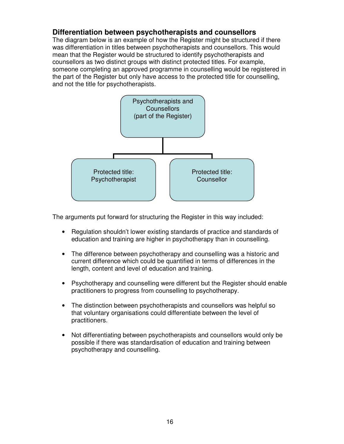#### **Differentiation between psychotherapists and counsellors**

The diagram below is an example of how the Register might be structured if there was differentiation in titles between psychotherapists and counsellors. This would mean that the Register would be structured to identify psychotherapists and counsellors as two distinct groups with distinct protected titles. For example, someone completing an approved programme in counselling would be registered in the part of the Register but only have access to the protected title for counselling, and not the title for psychotherapists.



The arguments put forward for structuring the Register in this way included:

- Regulation shouldn't lower existing standards of practice and standards of education and training are higher in psychotherapy than in counselling.
- The difference between psychotherapy and counselling was a historic and current difference which could be quantified in terms of differences in the length, content and level of education and training.
- Psychotherapy and counselling were different but the Register should enable practitioners to progress from counselling to psychotherapy.
- The distinction between psychotherapists and counsellors was helpful so that voluntary organisations could differentiate between the level of practitioners.
- Not differentiating between psychotherapists and counsellors would only be possible if there was standardisation of education and training between psychotherapy and counselling.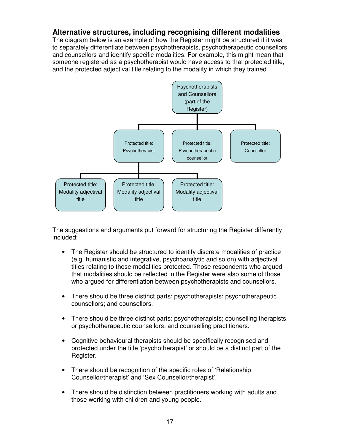#### **Alternative structures, including recognising different modalities**

The diagram below is an example of how the Register might be structured if it was to separately differentiate between psychotherapists, psychotherapeutic counsellors and counsellors and identify specific modalities. For example, this might mean that someone registered as a psychotherapist would have access to that protected title, and the protected adjectival title relating to the modality in which they trained.



The suggestions and arguments put forward for structuring the Register differently included:

- The Register should be structured to identify discrete modalities of practice (e.g. humanistic and integrative, psychoanalytic and so on) with adjectival titles relating to those modalities protected. Those respondents who argued that modalities should be reflected in the Register were also some of those who argued for differentiation between psychotherapists and counsellors.
- There should be three distinct parts: psychotherapists; psychotherapeutic counsellors; and counsellors.
- There should be three distinct parts: psychotherapists; counselling therapists or psychotherapeutic counsellors; and counselling practitioners.
- Cognitive behavioural therapists should be specifically recognised and protected under the title 'psychotherapist' or should be a distinct part of the Register.
- There should be recognition of the specific roles of 'Relationship Counsellor/therapist' and 'Sex Counsellor/therapist'.
- There should be distinction between practitioners working with adults and those working with children and young people.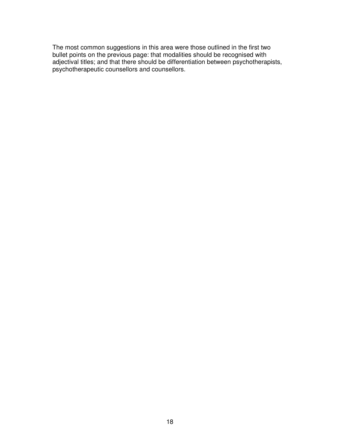The most common suggestions in this area were those outlined in the first two bullet points on the previous page: that modalities should be recognised with adjectival titles; and that there should be differentiation between psychotherapists, psychotherapeutic counsellors and counsellors.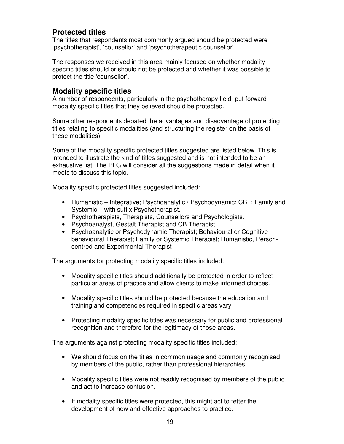#### **Protected titles**

The titles that respondents most commonly argued should be protected were 'psychotherapist', 'counsellor' and 'psychotherapeutic counsellor'.

The responses we received in this area mainly focused on whether modality specific titles should or should not be protected and whether it was possible to protect the title 'counsellor'.

#### **Modality specific titles**

A number of respondents, particularly in the psychotherapy field, put forward modality specific titles that they believed should be protected.

Some other respondents debated the advantages and disadvantage of protecting titles relating to specific modalities (and structuring the register on the basis of these modalities).

Some of the modality specific protected titles suggested are listed below. This is intended to illustrate the kind of titles suggested and is not intended to be an exhaustive list. The PLG will consider all the suggestions made in detail when it meets to discuss this topic.

Modality specific protected titles suggested included:

- Humanistic Integrative; Psychoanalytic / Psychodynamic; CBT; Family and Systemic – with suffix Psychotherapist.
- Psychotherapists, Therapists, Counsellors and Psychologists.
- Psychoanalyst, Gestalt Therapist and CB Therapist
- Psychoanalytic or Psychodynamic Therapist; Behavioural or Cognitive behavioural Therapist; Family or Systemic Therapist; Humanistic, Personcentred and Experimental Therapist

The arguments for protecting modality specific titles included:

- Modality specific titles should additionally be protected in order to reflect particular areas of practice and allow clients to make informed choices.
- Modality specific titles should be protected because the education and training and competencies required in specific areas vary.
- Protecting modality specific titles was necessary for public and professional recognition and therefore for the legitimacy of those areas.

The arguments against protecting modality specific titles included:

- We should focus on the titles in common usage and commonly recognised by members of the public, rather than professional hierarchies.
- Modality specific titles were not readily recognised by members of the public and act to increase confusion.
- If modality specific titles were protected, this might act to fetter the development of new and effective approaches to practice.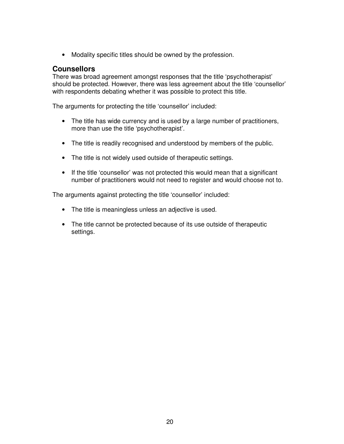• Modality specific titles should be owned by the profession.

#### **Counsellors**

There was broad agreement amongst responses that the title 'psychotherapist' should be protected. However, there was less agreement about the title 'counsellor' with respondents debating whether it was possible to protect this title.

The arguments for protecting the title 'counsellor' included:

- The title has wide currency and is used by a large number of practitioners, more than use the title 'psychotherapist'.
- The title is readily recognised and understood by members of the public.
- The title is not widely used outside of therapeutic settings.
- If the title 'counsellor' was not protected this would mean that a significant number of practitioners would not need to register and would choose not to.

The arguments against protecting the title 'counsellor' included:

- The title is meaningless unless an adjective is used.
- The title cannot be protected because of its use outside of therapeutic settings.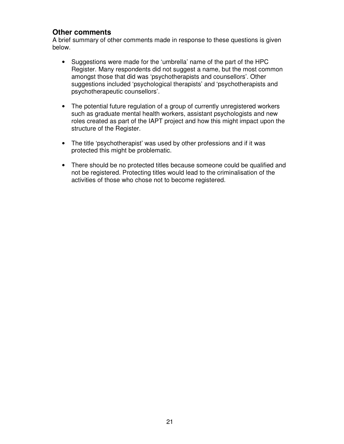#### **Other comments**

A brief summary of other comments made in response to these questions is given below.

- Suggestions were made for the 'umbrella' name of the part of the HPC Register. Many respondents did not suggest a name, but the most common amongst those that did was 'psychotherapists and counsellors'. Other suggestions included 'psychological therapists' and 'psychotherapists and psychotherapeutic counsellors'.
- The potential future regulation of a group of currently unregistered workers such as graduate mental health workers, assistant psychologists and new roles created as part of the IAPT project and how this might impact upon the structure of the Register.
- The title 'psychotherapist' was used by other professions and if it was protected this might be problematic.
- There should be no protected titles because someone could be qualified and not be registered. Protecting titles would lead to the criminalisation of the activities of those who chose not to become registered.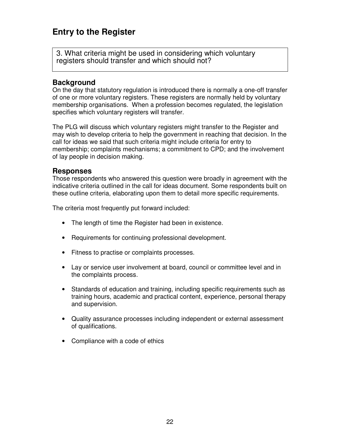# **Entry to the Register**

3. What criteria might be used in considering which voluntary registers should transfer and which should not?

#### **Background**

On the day that statutory regulation is introduced there is normally a one-off transfer of one or more voluntary registers. These registers are normally held by voluntary membership organisations. When a profession becomes regulated, the legislation specifies which voluntary registers will transfer.

The PLG will discuss which voluntary registers might transfer to the Register and may wish to develop criteria to help the government in reaching that decision. In the call for ideas we said that such criteria might include criteria for entry to membership; complaints mechanisms; a commitment to CPD; and the involvement of lay people in decision making.

#### **Responses**

Those respondents who answered this question were broadly in agreement with the indicative criteria outlined in the call for ideas document. Some respondents built on these outline criteria, elaborating upon them to detail more specific requirements.

The criteria most frequently put forward included:

- The length of time the Register had been in existence.
- Requirements for continuing professional development.
- Fitness to practise or complaints processes.
- Lay or service user involvement at board, council or committee level and in the complaints process.
- Standards of education and training, including specific requirements such as training hours, academic and practical content, experience, personal therapy and supervision.
- Quality assurance processes including independent or external assessment of qualifications.
- Compliance with a code of ethics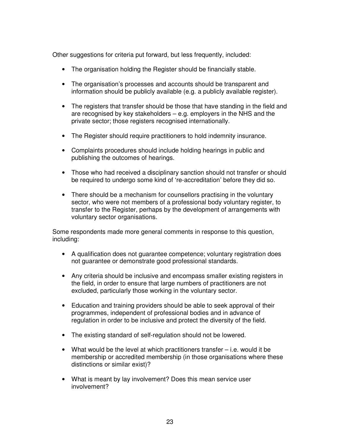Other suggestions for criteria put forward, but less frequently, included:

- The organisation holding the Register should be financially stable.
- The organisation's processes and accounts should be transparent and information should be publicly available (e.g. a publicly available register).
- The registers that transfer should be those that have standing in the field and are recognised by key stakeholders – e.g. employers in the NHS and the private sector; those registers recognised internationally.
- The Register should require practitioners to hold indemnity insurance.
- Complaints procedures should include holding hearings in public and publishing the outcomes of hearings.
- Those who had received a disciplinary sanction should not transfer or should be required to undergo some kind of 're-accreditation' before they did so.
- There should be a mechanism for counsellors practising in the voluntary sector, who were not members of a professional body voluntary register, to transfer to the Register, perhaps by the development of arrangements with voluntary sector organisations.

Some respondents made more general comments in response to this question, including:

- A qualification does not guarantee competence; voluntary registration does not guarantee or demonstrate good professional standards.
- Any criteria should be inclusive and encompass smaller existing registers in the field, in order to ensure that large numbers of practitioners are not excluded, particularly those working in the voluntary sector.
- Education and training providers should be able to seek approval of their programmes, independent of professional bodies and in advance of regulation in order to be inclusive and protect the diversity of the field.
- The existing standard of self-regulation should not be lowered.
- What would be the level at which practitioners transfer i.e. would it be membership or accredited membership (in those organisations where these distinctions or similar exist)?
- What is meant by lay involvement? Does this mean service user involvement?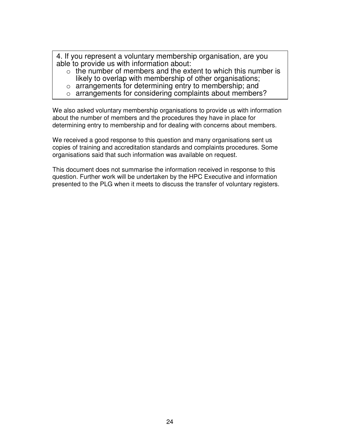4. If you represent a voluntary membership organisation, are you able to provide us with information about:

- $\circ$  the number of members and the extent to which this number is likely to overlap with membership of other organisations;
- o arrangements for determining entry to membership; and
- o arrangements for considering complaints about members?

We also asked voluntary membership organisations to provide us with information about the number of members and the procedures they have in place for determining entry to membership and for dealing with concerns about members.

We received a good response to this question and many organisations sent us copies of training and accreditation standards and complaints procedures. Some organisations said that such information was available on request.

This document does not summarise the information received in response to this question. Further work will be undertaken by the HPC Executive and information presented to the PLG when it meets to discuss the transfer of voluntary registers.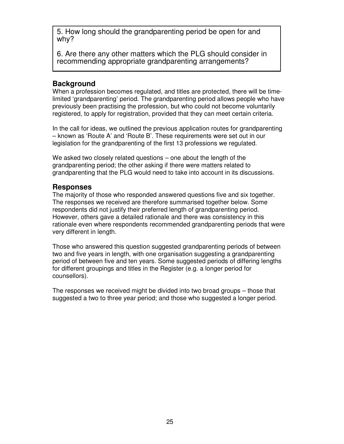5. How long should the grandparenting period be open for and why?

6. Are there any other matters which the PLG should consider in recommending appropriate grandparenting arrangements?

#### **Background**

When a profession becomes regulated, and titles are protected, there will be timelimited 'grandparenting' period. The grandparenting period allows people who have previously been practising the profession, but who could not become voluntarily registered, to apply for registration, provided that they can meet certain criteria.

In the call for ideas, we outlined the previous application routes for grandparenting – known as 'Route A' and 'Route B'. These requirements were set out in our legislation for the grandparenting of the first 13 professions we regulated.

We asked two closely related questions  $-$  one about the length of the grandparenting period; the other asking if there were matters related to grandparenting that the PLG would need to take into account in its discussions.

#### **Responses**

The majority of those who responded answered questions five and six together. The responses we received are therefore summarised together below. Some respondents did not justify their preferred length of grandparenting period. However, others gave a detailed rationale and there was consistency in this rationale even where respondents recommended grandparenting periods that were very different in length.

Those who answered this question suggested grandparenting periods of between two and five years in length, with one organisation suggesting a grandparenting period of between five and ten years. Some suggested periods of differing lengths for different groupings and titles in the Register (e.g. a longer period for counsellors).

The responses we received might be divided into two broad groups – those that suggested a two to three year period; and those who suggested a longer period.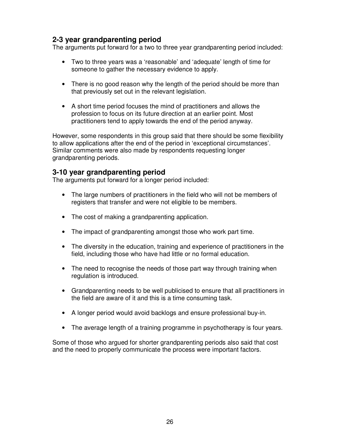### **2-3 year grandparenting period**

The arguments put forward for a two to three year grandparenting period included:

- Two to three years was a 'reasonable' and 'adequate' length of time for someone to gather the necessary evidence to apply.
- There is no good reason why the length of the period should be more than that previously set out in the relevant legislation.
- A short time period focuses the mind of practitioners and allows the profession to focus on its future direction at an earlier point. Most practitioners tend to apply towards the end of the period anyway.

However, some respondents in this group said that there should be some flexibility to allow applications after the end of the period in 'exceptional circumstances'. Similar comments were also made by respondents requesting longer grandparenting periods.

#### **3-10 year grandparenting period**

The arguments put forward for a longer period included:

- The large numbers of practitioners in the field who will not be members of registers that transfer and were not eligible to be members.
- The cost of making a grandparenting application.
- The impact of grandparenting amongst those who work part time.
- The diversity in the education, training and experience of practitioners in the field, including those who have had little or no formal education.
- The need to recognise the needs of those part way through training when regulation is introduced.
- Grandparenting needs to be well publicised to ensure that all practitioners in the field are aware of it and this is a time consuming task.
- A longer period would avoid backlogs and ensure professional buy-in.
- The average length of a training programme in psychotherapy is four years.

Some of those who argued for shorter grandparenting periods also said that cost and the need to properly communicate the process were important factors.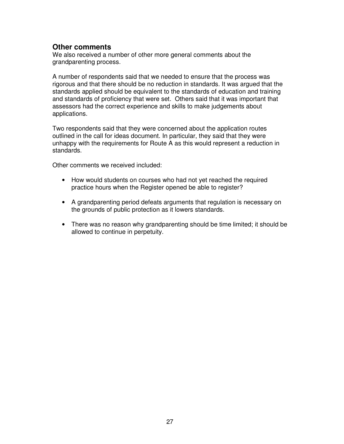#### **Other comments**

We also received a number of other more general comments about the grandparenting process.

A number of respondents said that we needed to ensure that the process was rigorous and that there should be no reduction in standards. It was argued that the standards applied should be equivalent to the standards of education and training and standards of proficiency that were set. Others said that it was important that assessors had the correct experience and skills to make judgements about applications.

Two respondents said that they were concerned about the application routes outlined in the call for ideas document. In particular, they said that they were unhappy with the requirements for Route A as this would represent a reduction in standards.

Other comments we received included:

- How would students on courses who had not yet reached the required practice hours when the Register opened be able to register?
- A grandparenting period defeats arguments that regulation is necessary on the grounds of public protection as it lowers standards.
- There was no reason why grandparenting should be time limited; it should be allowed to continue in perpetuity.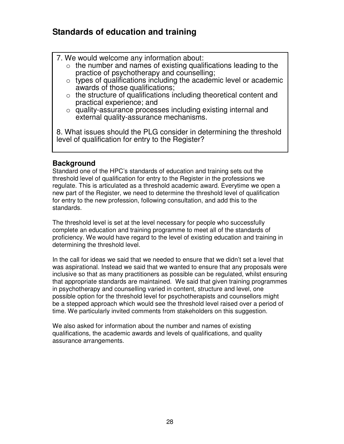# **Standards of education and training**

- 7. We would welcome any information about:
	- $\circ$  the number and names of existing qualifications leading to the practice of psychotherapy and counselling;
	- $\circ$  types of qualifications including the academic level or academic awards of those qualifications;
	- $\circ$  the structure of qualifications including theoretical content and practical experience; and
	- o quality-assurance processes including existing internal and external quality-assurance mechanisms.

8. What issues should the PLG consider in determining the threshold level of qualification for entry to the Register?

#### **Background**

Standard one of the HPC's standards of education and training sets out the threshold level of qualification for entry to the Register in the professions we regulate. This is articulated as a threshold academic award. Everytime we open a new part of the Register, we need to determine the threshold level of qualification for entry to the new profession, following consultation, and add this to the standards.

The threshold level is set at the level necessary for people who successfully complete an education and training programme to meet all of the standards of proficiency. We would have regard to the level of existing education and training in determining the threshold level.

In the call for ideas we said that we needed to ensure that we didn't set a level that was aspirational. Instead we said that we wanted to ensure that any proposals were inclusive so that as many practitioners as possible can be regulated, whilst ensuring that appropriate standards are maintained. We said that given training programmes in psychotherapy and counselling varied in content, structure and level, one possible option for the threshold level for psychotherapists and counsellors might be a stepped approach which would see the threshold level raised over a period of time. We particularly invited comments from stakeholders on this suggestion.

We also asked for information about the number and names of existing qualifications, the academic awards and levels of qualifications, and quality assurance arrangements.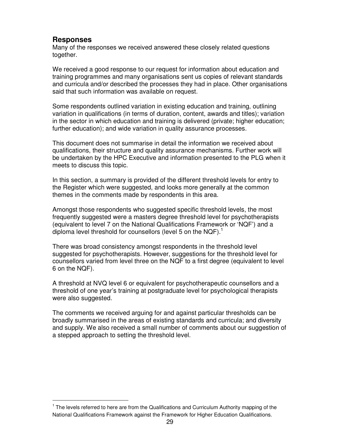#### **Responses**

-

Many of the responses we received answered these closely related questions together.

We received a good response to our request for information about education and training programmes and many organisations sent us copies of relevant standards and curricula and/or described the processes they had in place. Other organisations said that such information was available on request.

Some respondents outlined variation in existing education and training, outlining variation in qualifications (in terms of duration, content, awards and titles); variation in the sector in which education and training is delivered (private; higher education; further education); and wide variation in quality assurance processes.

This document does not summarise in detail the information we received about qualifications, their structure and quality assurance mechanisms. Further work will be undertaken by the HPC Executive and information presented to the PLG when it meets to discuss this topic.

In this section, a summary is provided of the different threshold levels for entry to the Register which were suggested, and looks more generally at the common themes in the comments made by respondents in this area.

Amongst those respondents who suggested specific threshold levels, the most frequently suggested were a masters degree threshold level for psychotherapists (equivalent to level 7 on the National Qualifications Framework or 'NQF') and a diploma level threshold for counsellors (level 5 on the NQF).<sup>1</sup>

There was broad consistency amongst respondents in the threshold level suggested for psychotherapists. However, suggestions for the threshold level for counsellors varied from level three on the NQF to a first degree (equivalent to level 6 on the NQF).

A threshold at NVQ level 6 or equivalent for psychotherapeutic counsellors and a threshold of one year's training at postgraduate level for psychological therapists were also suggested.

The comments we received arguing for and against particular thresholds can be broadly summarised in the areas of existing standards and curricula; and diversity and supply. We also received a small number of comments about our suggestion of a stepped approach to setting the threshold level.

<sup>&</sup>lt;sup>1</sup> The levels referred to here are from the Qualifications and Curriculum Authority mapping of the National Qualifications Framework against the Framework for Higher Education Qualifications.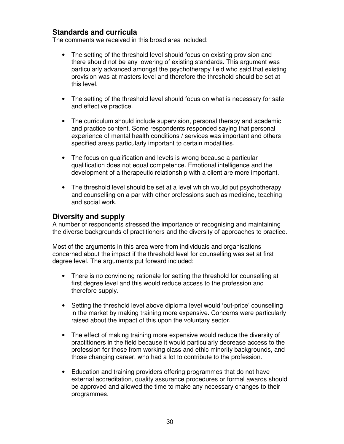#### **Standards and curricula**

The comments we received in this broad area included:

- The setting of the threshold level should focus on existing provision and there should not be any lowering of existing standards. This argument was particularly advanced amongst the psychotherapy field who said that existing provision was at masters level and therefore the threshold should be set at this level.
- The setting of the threshold level should focus on what is necessary for safe and effective practice.
- The curriculum should include supervision, personal therapy and academic and practice content. Some respondents responded saying that personal experience of mental health conditions / services was important and others specified areas particularly important to certain modalities.
- The focus on qualification and levels is wrong because a particular qualification does not equal competence. Emotional intelligence and the development of a therapeutic relationship with a client are more important.
- The threshold level should be set at a level which would put psychotherapy and counselling on a par with other professions such as medicine, teaching and social work.

#### **Diversity and supply**

A number of respondents stressed the importance of recognising and maintaining the diverse backgrounds of practitioners and the diversity of approaches to practice.

Most of the arguments in this area were from individuals and organisations concerned about the impact if the threshold level for counselling was set at first degree level. The arguments put forward included:

- There is no convincing rationale for setting the threshold for counselling at first degree level and this would reduce access to the profession and therefore supply.
- Setting the threshold level above diploma level would 'out-price' counselling in the market by making training more expensive. Concerns were particularly raised about the impact of this upon the voluntary sector.
- The effect of making training more expensive would reduce the diversity of practitioners in the field because it would particularly decrease access to the profession for those from working class and ethic minority backgrounds, and those changing career, who had a lot to contribute to the profession.
- Education and training providers offering programmes that do not have external accreditation, quality assurance procedures or formal awards should be approved and allowed the time to make any necessary changes to their programmes.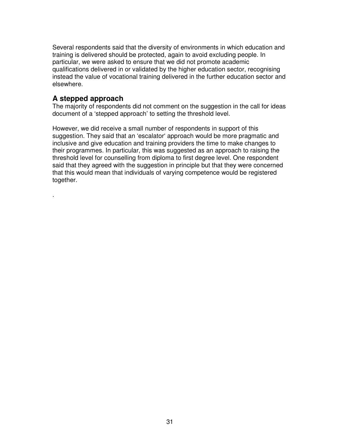Several respondents said that the diversity of environments in which education and training is delivered should be protected, again to avoid excluding people. In particular, we were asked to ensure that we did not promote academic qualifications delivered in or validated by the higher education sector, recognising instead the value of vocational training delivered in the further education sector and elsewhere.

#### **A stepped approach**

.

The majority of respondents did not comment on the suggestion in the call for ideas document of a 'stepped approach' to setting the threshold level.

However, we did receive a small number of respondents in support of this suggestion. They said that an 'escalator' approach would be more pragmatic and inclusive and give education and training providers the time to make changes to their programmes. In particular, this was suggested as an approach to raising the threshold level for counselling from diploma to first degree level. One respondent said that they agreed with the suggestion in principle but that they were concerned that this would mean that individuals of varying competence would be registered together.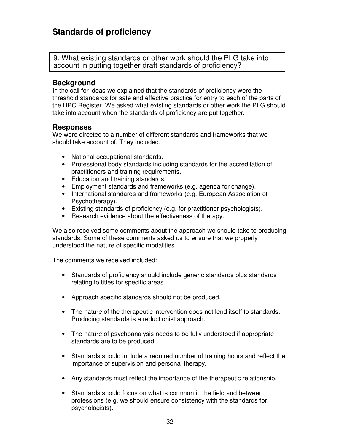# **Standards of proficiency**

9. What existing standards or other work should the PLG take into account in putting together draft standards of proficiency?

#### **Background**

In the call for ideas we explained that the standards of proficiency were the threshold standards for safe and effective practice for entry to each of the parts of the HPC Register. We asked what existing standards or other work the PLG should take into account when the standards of proficiency are put together.

#### **Responses**

We were directed to a number of different standards and frameworks that we should take account of. They included:

- National occupational standards.
- Professional body standards including standards for the accreditation of practitioners and training requirements.
- Education and training standards.
- Employment standards and frameworks (e.g. agenda for change).
- International standards and frameworks (e.g. European Association of Psychotherapy).
- Existing standards of proficiency (e.g. for practitioner psychologists).
- Research evidence about the effectiveness of therapy.

We also received some comments about the approach we should take to producing standards. Some of these comments asked us to ensure that we properly understood the nature of specific modalities.

The comments we received included:

- Standards of proficiency should include generic standards plus standards relating to titles for specific areas.
- Approach specific standards should not be produced.
- The nature of the therapeutic intervention does not lend itself to standards. Producing standards is a reductionist approach.
- The nature of psychoanalysis needs to be fully understood if appropriate standards are to be produced.
- Standards should include a required number of training hours and reflect the importance of supervision and personal therapy.
- Any standards must reflect the importance of the therapeutic relationship.
- Standards should focus on what is common in the field and between professions (e.g. we should ensure consistency with the standards for psychologists).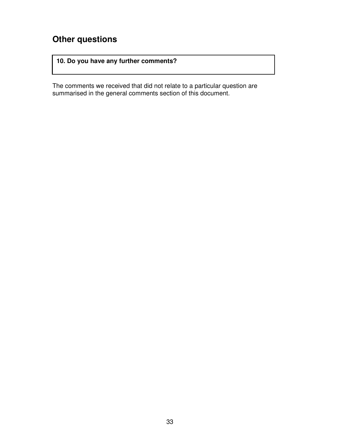# **Other questions**

#### **10. Do you have any further comments?**

The comments we received that did not relate to a particular question are summarised in the general comments section of this document.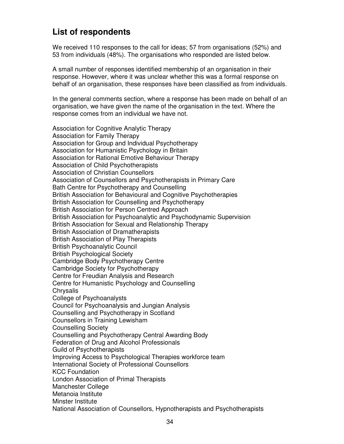# **List of respondents**

We received 110 responses to the call for ideas; 57 from organisations (52%) and 53 from individuals (48%). The organisations who responded are listed below.

A small number of responses identified membership of an organisation in their response. However, where it was unclear whether this was a formal response on behalf of an organisation, these responses have been classified as from individuals.

In the general comments section, where a response has been made on behalf of an organisation, we have given the name of the organisation in the text. Where the response comes from an individual we have not.

Association for Cognitive Analytic Therapy Association for Family Therapy Association for Group and Individual Psychotherapy Association for Humanistic Psychology in Britain Association for Rational Emotive Behaviour Therapy Association of Child Psychotherapists Association of Christian Counsellors Association of Counsellors and Psychotherapists in Primary Care Bath Centre for Psychotherapy and Counselling British Association for Behavioural and Cognitive Psychotherapies British Association for Counselling and Psychotherapy British Association for Person Centred Approach British Association for Psychoanalytic and Psychodynamic Supervision British Association for Sexual and Relationship Therapy British Association of Dramatherapists British Association of Play Therapists British Psychoanalytic Council British Psychological Society Cambridge Body Psychotherapy Centre Cambridge Society for Psychotherapy Centre for Freudian Analysis and Research Centre for Humanistic Psychology and Counselling **Chrysalis** College of Psychoanalysts Council for Psychoanalysis and Jungian Analysis Counselling and Psychotherapy in Scotland Counsellors in Training Lewisham Counselling Society Counselling and Psychotherapy Central Awarding Body Federation of Drug and Alcohol Professionals Guild of Psychotherapists Improving Access to Psychological Therapies workforce team International Society of Professional Counsellors KCC Foundation London Association of Primal Therapists Manchester College Metanoia Institute Minster Institute National Association of Counsellors, Hypnotherapists and Psychotherapists